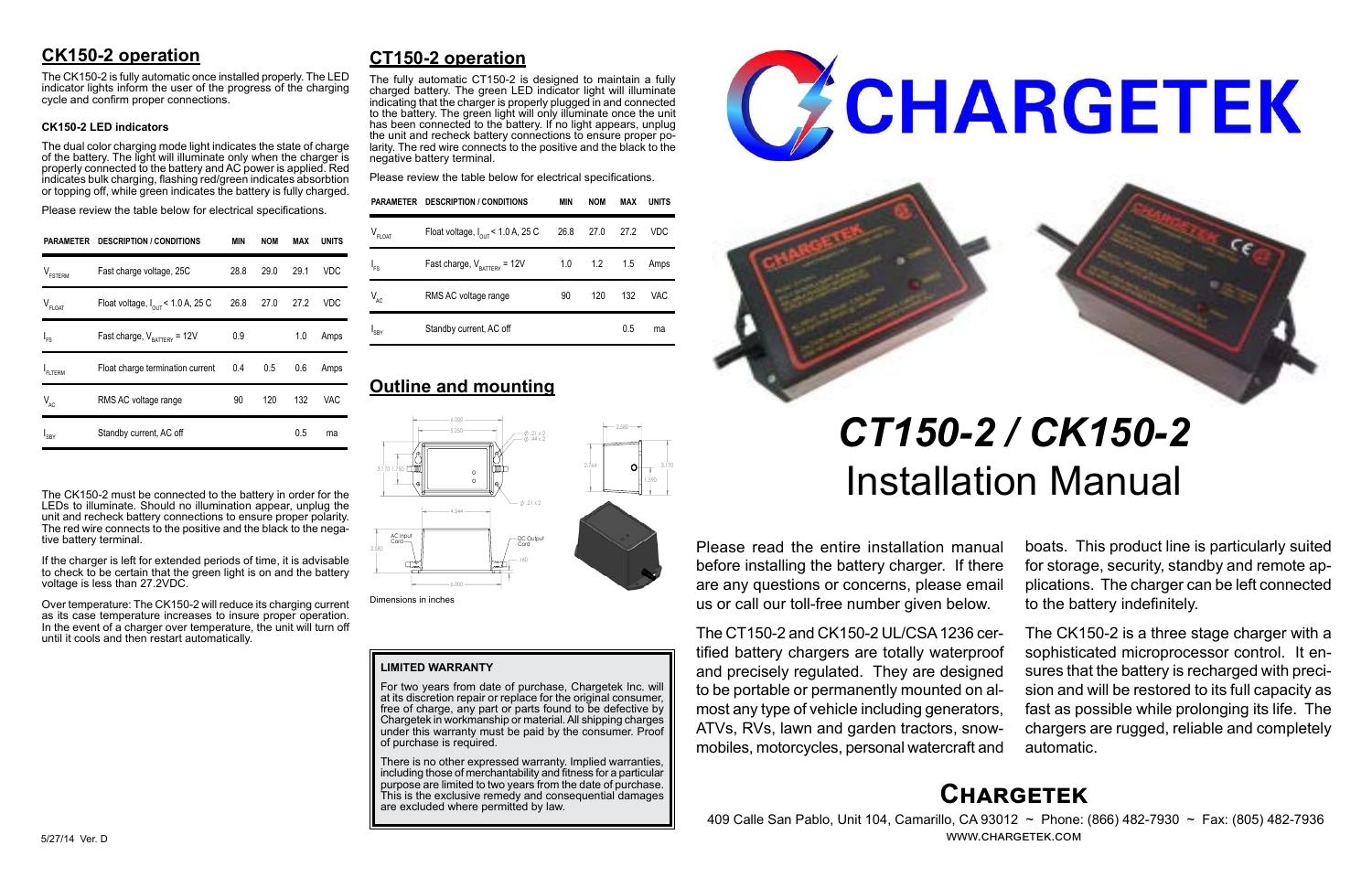# **Chargetek**

 409 Calle San Pablo, Unit 104, Camarillo, CA 93012 ~ Phone: (866) 482-7930 ~ Fax: (805) 482-7936 www.chargetek.com

# **CK150-2 operation**

The dual color charging mode light indicates the state of charge of the battery. The light will illuminate only when the charger is properly connected to the battery and AC power is applied. Red indicates bulk charging, flashing red/green indicates absorbtion or topping off, while green indicates the battery is fully charged.

The CK150-2 is fully automatic once installed properly. The LED indicator lights inform the user of the progress of the charging cycle and confirm proper connections.

#### **CK150-2 LED indicators**

Please review the table below for electrical specifications.

The CK150-2 must be connected to the battery in order for the LEDs to illuminate. Should no illumination appear, unplug the unit and recheck battery connections to ensure proper polarity. The red wire connects to the positive and the black to the negative battery terminal.

If the charger is left for extended periods of time, it is advisable to check to be certain that the green light is on and the battery voltage is less than 27.2VDC.

Over temperature: The CK150-2 will reduce its charging current as its case temperature increases to insure proper operation. In the event of a charger over temperature, the unit will turn off until it cools and then restart automatically.

Please read the entire installation manual before installing the battery charger. If there are any questions or concerns, please email us or call our toll-free number given below.

There is no other expressed warranty. Implied warranties, including those of merchantability and fitness for a particular purpose are limited to two years from the date of purchase. This is the exclusive remedy and consequential damages are excluded where permitted by law.





The CT150-2 and CK150-2 UL/CSA 1236 certified battery chargers are totally waterproof and precisely regulated. They are designed to be portable or permanently mounted on almost any type of vehicle including generators, ATVs, RVs, lawn and garden tractors, snowmobiles, motorcycles, personal watercraft and

boats. This product line is particularly suited for storage, security, standby and remote applications. The charger can be left connected to the battery indefinitely.

The CK150-2 is a three stage charger with a sophisticated microprocessor control. It ensures that the battery is recharged with precision and will be restored to its full capacity as fast as possible while prolonging its life. The chargers are rugged, reliable and completely automatic.

# **CT150-2 operation**

The fully automatic CT150-2 is designed to maintain a fully charged battery. The green LED indicator light will illuminate indicating that the charger is properly plugged in and connected to the battery. The green light will only illuminate once the unit has been connected to the battery. If no light appears, unplug the unit and recheck battery connections to ensure proper polarity. The red wire connects to the positive and the black to the negative battery terminal.

Please review the table below for electrical specifications.

# *CT150-2 / CK150-2* Installation Manual

#### **LIMITED WARRANTY**

For two years from date of purchase, Chargetek Inc. will at its discretion repair or replace for the original consumer, free of charge, any part or parts found to be defective by Chargetek in workmanship or material. All shipping charges under this warranty must be paid by the consumer. Proof of purchase is required.

| PARAMETER           | <b>DESCRIPTION / CONDITIONS</b>               | MIN  | <b>NOM</b> | MAX  | UNITS |
|---------------------|-----------------------------------------------|------|------------|------|-------|
| $V_{\text{FSTERM}}$ | Fast charge voltage, 25C                      | 28.8 | 29.0       | 29.1 | VDC   |
| $V_{FLOAT}$         | Float voltage, $I_{\text{out}}$ < 1.0 A, 25 C | 26.8 | 27.0       | 27.2 | VDC   |
| $I_{FS}$            | Fast charge, $V_{\text{raffry}} = 12V$        | 0.9  |            | 1.0  | Amps  |
| FLTERM              | Float charge termination current              | 0.4  | 0.5        | 0.6  | Amps  |
| $V_{AC}$            | RMS AC voltage range                          | 90   | 120        | 132  | VAC   |
| $I_{SBY}$           | Standby current, AC off                       |      |            | 0.5  | ma    |

|             | PARAMETER DESCRIPTION / CONDITIONS            | MIN | <b>NOM</b>        | <b>MAX</b> | <b>UNITS</b> |
|-------------|-----------------------------------------------|-----|-------------------|------------|--------------|
| $V_{FLOAT}$ | Float voltage, $I_{\text{OUT}}$ < 1.0 A, 25 C |     | 26.8 27.0 27.2    |            | <b>VDC</b>   |
| $I_{FS}$    | Fast charge, $V_{\text{BATTERY}} = 12V$       |     | $1.0$ $1.2$ $1.5$ |            | Amps         |
| $V_{AC}$    | RMS AC voltage range                          | 90  | 120               | 132        | VAC          |
| $I_{SBY}$   | Standby current, AC off                       |     |                   | 0.5        | ma           |

# **Outline and mounting**